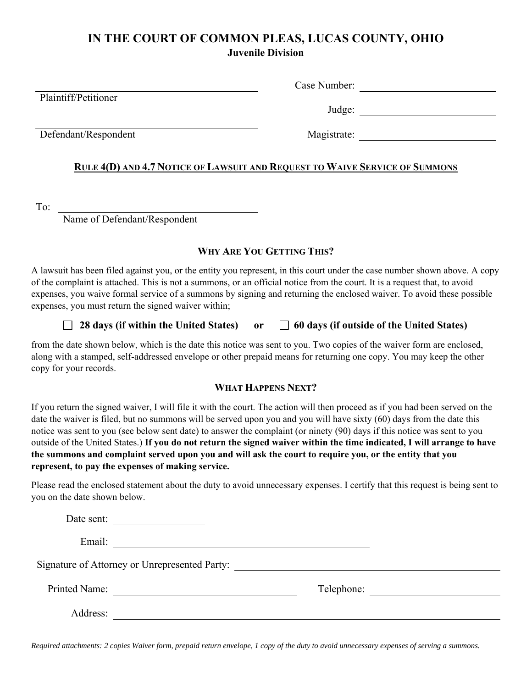### **IN THE COURT OF COMMON PLEAS, LUCAS COUNTY, OHIO Juvenile Division**

 Case Number: Plaintiff/Petitioner Judge: Defendant/Respondent Magistrate: **RULE 4(D) AND 4.7 NOTICE OF LAWSUIT AND REQUEST TO WAIVE SERVICE OF SUMMONS**

To:

Name of Defendant/Respondent

### **WHY ARE YOU GETTING THIS?**

A lawsuit has been filed against you, or the entity you represent, in this court under the case number shown above. A copy of the complaint is attached. This is not a summons, or an official notice from the court. It is a request that, to avoid expenses, you waive formal service of a summons by signing and returning the enclosed waiver. To avoid these possible expenses, you must return the signed waiver within;

### **28 days (if within the United States)** or  $\Box$  60 days (if outside of the United States)

from the date shown below, which is the date this notice was sent to you. Two copies of the waiver form are enclosed, along with a stamped, self-addressed envelope or other prepaid means for returning one copy. You may keep the other copy for your records.

#### **WHAT HAPPENS NEXT?**

If you return the signed waiver, I will file it with the court. The action will then proceed as if you had been served on the date the waiver is filed, but no summons will be served upon you and you will have sixty (60) days from the date this notice was sent to you (see below sent date) to answer the complaint (or ninety (90) days if this notice was sent to you outside of the United States.) **If you do not return the signed waiver within the time indicated, I will arrange to have the summons and complaint served upon you and will ask the court to require you, or the entity that you represent, to pay the expenses of making service.** 

Please read the enclosed statement about the duty to avoid unnecessary expenses. I certify that this request is being sent to you on the date shown below.

| Date sent:<br><u> 1980 - Jan Barbara Barbara, manazarta </u> |                                               |  |
|--------------------------------------------------------------|-----------------------------------------------|--|
| Email:                                                       |                                               |  |
|                                                              | Signature of Attorney or Unrepresented Party: |  |
| Printed Name:                                                | Telephone:                                    |  |
| Address:                                                     |                                               |  |

*Required attachments: 2 copies Waiver form, prepaid return envelope, 1 copy of the duty to avoid unnecessary expenses of serving a summons.*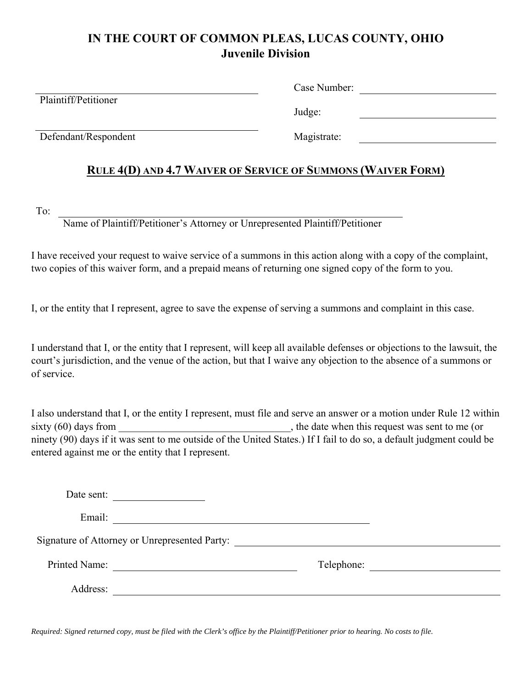# **IN THE COURT OF COMMON PLEAS, LUCAS COUNTY, OHIO Juvenile Division**

| Plaintiff/Petitioner | Case Number: |  |
|----------------------|--------------|--|
|                      | Judge:       |  |
| Defendant/Respondent | Magistrate:  |  |
|                      |              |  |

### **RULE 4(D) AND 4.7 WAIVER OF SERVICE OF SUMMONS (WAIVER FORM)**

To:

Name of Plaintiff/Petitioner's Attorney or Unrepresented Plaintiff/Petitioner

I have received your request to waive service of a summons in this action along with a copy of the complaint, two copies of this waiver form, and a prepaid means of returning one signed copy of the form to you.

I, or the entity that I represent, agree to save the expense of serving a summons and complaint in this case.

I understand that I, or the entity that I represent, will keep all available defenses or objections to the lawsuit, the court's jurisdiction, and the venue of the action, but that I waive any objection to the absence of a summons or of service.

I also understand that I, or the entity I represent, must file and serve an answer or a motion under Rule 12 within sixty (60) days from \_\_\_\_\_\_\_\_\_\_\_\_\_\_\_\_\_\_\_\_\_\_\_\_\_\_\_\_\_\_\_, the date when this request was sent to me (or ninety (90) days if it was sent to me outside of the United States.) If I fail to do so, a default judgment could be entered against me or the entity that I represent.

| Date sent:                                                           |                                                            |
|----------------------------------------------------------------------|------------------------------------------------------------|
| Email:                                                               | <u> 1989 - Johann John Stein, fransk politik (d. 1989)</u> |
|                                                                      | Signature of Attorney or Unrepresented Party:              |
| Printed Name:<br><u> 1980 - Andrea Station Barbara, amerikan per</u> | Telephone:                                                 |
| Address:                                                             |                                                            |

*Required: Signed returned copy, must be filed with the Clerk's office by the Plaintiff/Petitioner prior to hearing. No costs to file.*